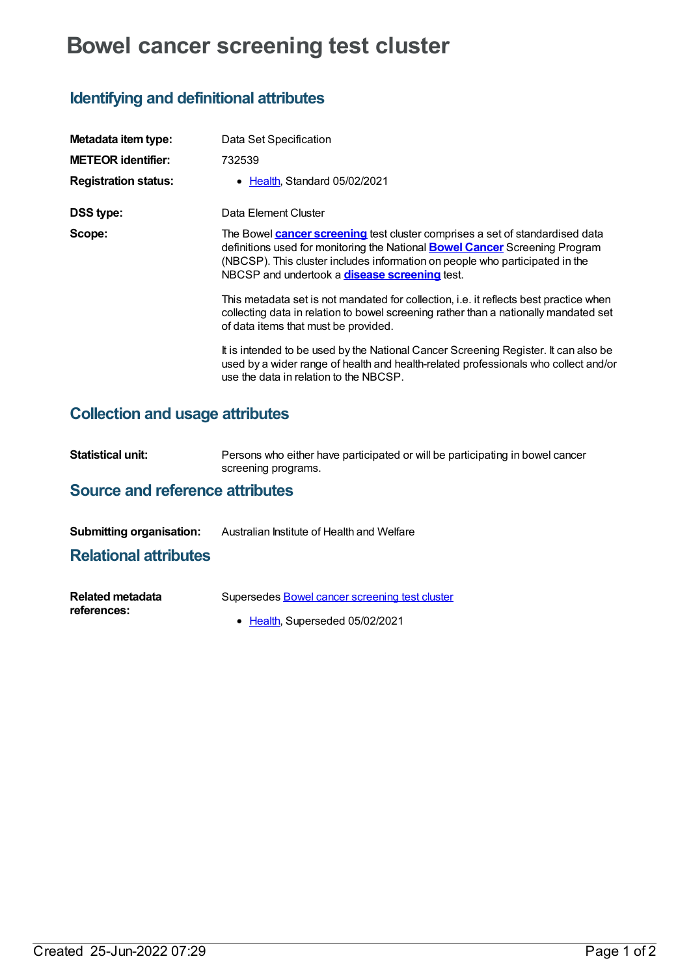# **Bowel cancer screening test cluster**

# **Identifying and definitional attributes**

| Metadata item type:         | Data Set Specification                                                                                                                                                                                                                                                                                            |
|-----------------------------|-------------------------------------------------------------------------------------------------------------------------------------------------------------------------------------------------------------------------------------------------------------------------------------------------------------------|
| <b>METEOR identifier:</b>   | 732539                                                                                                                                                                                                                                                                                                            |
| <b>Registration status:</b> | • Health, Standard 05/02/2021                                                                                                                                                                                                                                                                                     |
| <b>DSS type:</b>            | Data Element Cluster                                                                                                                                                                                                                                                                                              |
| Scope:                      | The Bowel <b>cancer screening</b> test cluster comprises a set of standardised data<br>definitions used for monitoring the National <b>Bowel Cancer</b> Screening Program<br>(NBCSP). This cluster includes information on people who participated in the<br>NBCSP and undertook a <b>disease screening</b> test. |
|                             | This metadata set is not mandated for collection, i.e. it reflects best practice when<br>collecting data in relation to bowel screening rather than a nationally mandated set<br>of data items that must be provided.                                                                                             |
|                             | It is intended to be used by the National Cancer Screening Register. It can also be<br>used by a wider range of health and health-related professionals who collect and/or<br>use the data in relation to the NBCSP.                                                                                              |

# **Collection and usage attributes**

| Statistical unit: | Persons who either have participated or will be participating in bowel cancer |
|-------------------|-------------------------------------------------------------------------------|
|                   | screening programs.                                                           |

## **Source and reference attributes**

**Submitting organisation:** Australian Institute of Health and Welfare

### **Relational attributes**

| Related metadata | Supersedes Bowel cancer screening test cluster |
|------------------|------------------------------------------------|
| references:      |                                                |
|                  | • Health, Superseded 05/02/2021                |